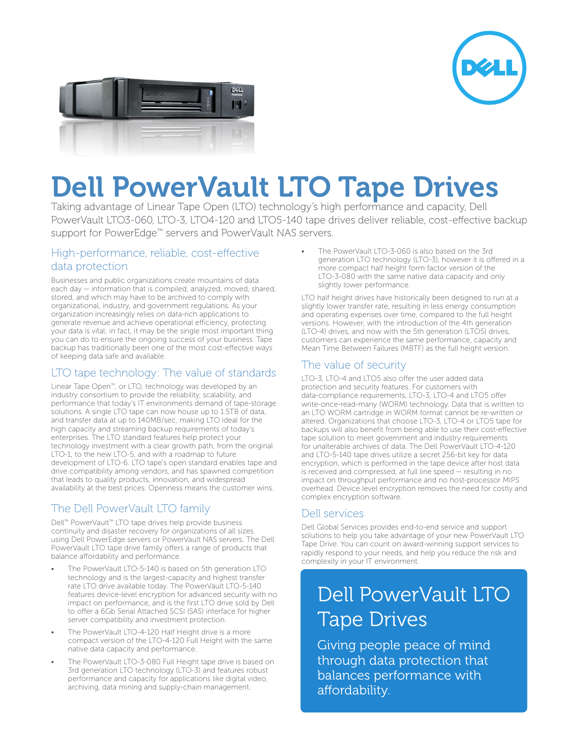



# Dell PowerVault LTO Tape Drives

Taking advantage of Linear Tape Open (LTO) technology's high performance and capacity, Dell PowerVault LTO3-060, LTO-3, LTO4-120 and LTO5-140 tape drives deliver reliable, cost-effective backup support for PowerEdge™ servers and PowerVault NAS servers.

#### High-performance, reliable, cost-effective data protection

Businesses and public organizations create mountains of data each day — information that is compiled, analyzed, moved, shared, stored, and which may have to be archived to comply with organizational, industry, and government regulations. As your organization increasingly relies on data-rich applications to generate revenue and achieve operational efficiency, protecting your data is vital; in fact, it may be the single most important thing you can do to ensure the ongoing success of your business. Tape backup has traditionally been one of the most cost-effective ways of keeping data safe and available.

### LTO tape technology: The value of standards

Linear Tape Open™, or LTO, technology was developed by an industry consortium to provide the reliability, scalability, and performance that today's IT environments demand of tape-storage solutions. A single LTO tape can now house up to 1.5TB of data, and transfer data at up to 140MB/sec, making LTO ideal for the high capacity and streaming backup requirements of today's enterprises. The LTO standard features help protect your technology investment with a clear growth path, from the original LTO-1, to the new LTO-5, and with a roadmap to future development of LTO-6. LTO tape's open standard enables tape and drive compatibility among vendors, and has spawned competition that leads to quality products, innovation, and widespread availability at the best prices. Openness means the customer wins.

# The Dell PowerVault LTO family

Dell™ PowerVault™ LTO tape drives help provide business continuity and disaster recovery for organizations of all sizes using Dell PowerEdge servers or PowerVault NAS servers. The Dell PowerVault LTO tape drive family offers a range of products that balance affordability and performance.

- The PowerVault LTO-5-140 is based on 5th generation LTO technology and is the largest-capacity and highest transfer rate LTO drive available today. The PowerVault LTO-5-140 features device-level encryption for advanced security with no impact on performance, and is the first LTO drive sold by Dell to offer a 6Gb Serial Attached SCSI (SAS) interface for higher server compatibility and investment protection.
- The PowerVault LTO-4-120 Half Height drive is a more compact version of the LTO-4-120 Full Height with the same native data capacity and performance.
- The PowerVault LTO-3-080 Full Height tape drive is based on 3rd generation LTO technology (LTO-3) and features robust performance and capacity for applications like digital video, archiving, data mining and supply-chain management.

The PowerVault LTO-3-060 is also based on the 3rd generation LTO technology (LTO-3), however it is offered in a more compact half height form factor version of the LTO-3-080 with the same native data capacity and only slightly lower performance.

LTO half height drives have historically been designed to run at a slightly lower transfer rate, resulting in less energy consumption and operating expenses over time, compared to the full height versions. However, with the introduction of the 4th generation (LTO-4) drives, and now with the 5th generation (LTO5) drives, customers can experience the same performance, capacity and Mean Time Between Failures (MBTF) as the full height version.

#### The value of security

LTO-3, LTO-4 and LTO5 also offer the user added data protection and security features. For customers with data-compliance requirements, LTO-3, LTO-4 and LTO5 offer write-once-read-many (WORM) technology. Data that is written to an LTO WORM cartridge in WORM format cannot be re-written or altered. Organizations that choose LTO-3, LTO-4 or LTO5 tape for backups will also benefit from being able to use their cost-effective tape solution to meet government and industry requirements for unalterable archives of data. The Dell PowerVault LTO-4-120 and LTO-5-140 tape drives utilize a secret 256-bit key for data encryption, which is performed in the tape device after host data is received and compressed, at full line speed — resulting in no impact on throughput performance and no host-processor MIPS overhead. Device level encryption removes the need for costly and complex encryption software.

# Dell services

Dell Global Services provides end-to-end service and support solutions to help you take advantage of your new PowerVault LTO Tape Drive. You can count on award-winning support services to rapidly respond to your needs, and help you reduce the risk and complexity in your IT environment.

# Dell PowerVault LTO Tape Drives

Giving people peace of mind through data protection that balances performance with affordability.